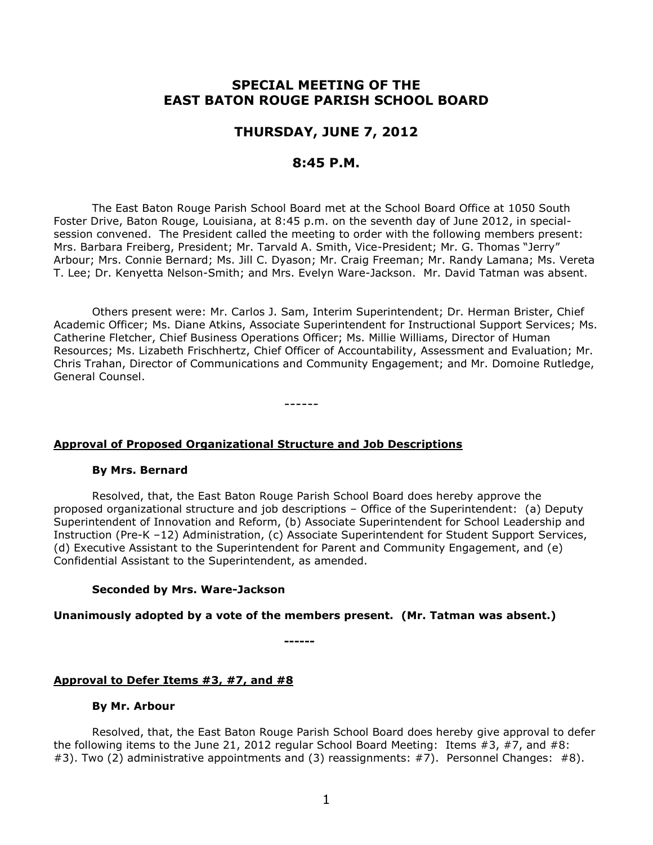# **SPECIAL MEETING OF THE EAST BATON ROUGE PARISH SCHOOL BOARD**

# **THURSDAY, JUNE 7, 2012**

# **8:45 P.M.**

The East Baton Rouge Parish School Board met at the School Board Office at 1050 South Foster Drive, Baton Rouge, Louisiana, at 8:45 p.m. on the seventh day of June 2012, in specialsession convened. The President called the meeting to order with the following members present: Mrs. Barbara Freiberg, President; Mr. Tarvald A. Smith, Vice-President; Mr. G. Thomas "Jerry" Arbour; Mrs. Connie Bernard; Ms. Jill C. Dyason; Mr. Craig Freeman; Mr. Randy Lamana; Ms. Vereta T. Lee; Dr. Kenyetta Nelson-Smith; and Mrs. Evelyn Ware-Jackson. Mr. David Tatman was absent.

Others present were: Mr. Carlos J. Sam, Interim Superintendent; Dr. Herman Brister, Chief Academic Officer; Ms. Diane Atkins, Associate Superintendent for Instructional Support Services; Ms. Catherine Fletcher, Chief Business Operations Officer; Ms. Millie Williams, Director of Human Resources; Ms. Lizabeth Frischhertz, Chief Officer of Accountability, Assessment and Evaluation; Mr. Chris Trahan, Director of Communications and Community Engagement; and Mr. Domoine Rutledge, General Counsel.

------

## **Approval of Proposed Organizational Structure and Job Descriptions**

#### **By Mrs. Bernard**

Resolved, that, the East Baton Rouge Parish School Board does hereby approve the proposed organizational structure and job descriptions – Office of the Superintendent: (a) Deputy Superintendent of Innovation and Reform, (b) Associate Superintendent for School Leadership and Instruction (Pre-K –12) Administration, (c) Associate Superintendent for Student Support Services, (d) Executive Assistant to the Superintendent for Parent and Community Engagement, and (e) Confidential Assistant to the Superintendent, as amended.

#### **Seconded by Mrs. Ware-Jackson**

## **Unanimously adopted by a vote of the members present. (Mr. Tatman was absent.)**

**------**

## **Approval to Defer Items #3, #7, and #8**

#### **By Mr. Arbour**

Resolved, that, the East Baton Rouge Parish School Board does hereby give approval to defer the following items to the June 21, 2012 regular School Board Meeting: Items #3, #7, and #8: #3). Two (2) administrative appointments and (3) reassignments: #7). Personnel Changes: #8).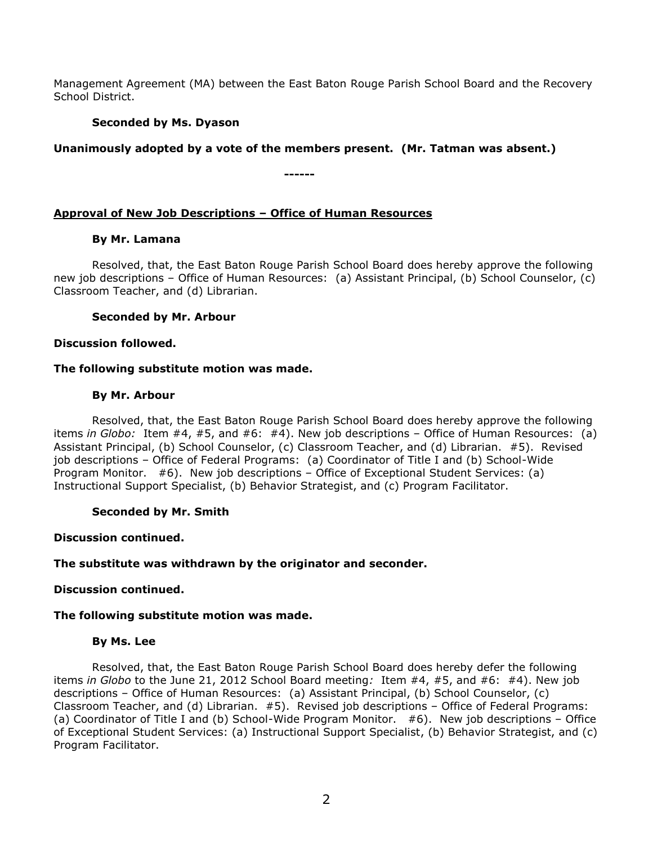Management Agreement (MA) between the East Baton Rouge Parish School Board and the Recovery School District.

# **Seconded by Ms. Dyason**

# **Unanimously adopted by a vote of the members present. (Mr. Tatman was absent.)**

**------**

## **Approval of New Job Descriptions – Office of Human Resources**

## **By Mr. Lamana**

Resolved, that, the East Baton Rouge Parish School Board does hereby approve the following new job descriptions – Office of Human Resources: (a) Assistant Principal, (b) School Counselor, (c) Classroom Teacher, and (d) Librarian.

## **Seconded by Mr. Arbour**

## **Discussion followed.**

## **The following substitute motion was made.**

## **By Mr. Arbour**

Resolved, that, the East Baton Rouge Parish School Board does hereby approve the following items *in Globo:* Item #4, #5, and #6: #4). New job descriptions – Office of Human Resources: (a) Assistant Principal, (b) School Counselor, (c) Classroom Teacher, and (d) Librarian. #5). Revised job descriptions – Office of Federal Programs: (a) Coordinator of Title I and (b) School-Wide Program Monitor. #6). New job descriptions – Office of Exceptional Student Services: (a) Instructional Support Specialist, (b) Behavior Strategist, and (c) Program Facilitator.

## **Seconded by Mr. Smith**

#### **Discussion continued.**

## **The substitute was withdrawn by the originator and seconder.**

## **Discussion continued.**

## **The following substitute motion was made.**

#### **By Ms. Lee**

Resolved, that, the East Baton Rouge Parish School Board does hereby defer the following items *in Globo* to the June 21, 2012 School Board meeting*:* Item #4, #5, and #6: #4). New job descriptions – Office of Human Resources: (a) Assistant Principal, (b) School Counselor, (c) Classroom Teacher, and (d) Librarian. #5). Revised job descriptions – Office of Federal Programs: (a) Coordinator of Title I and (b) School-Wide Program Monitor. #6). New job descriptions – Office of Exceptional Student Services: (a) Instructional Support Specialist, (b) Behavior Strategist, and (c) Program Facilitator.